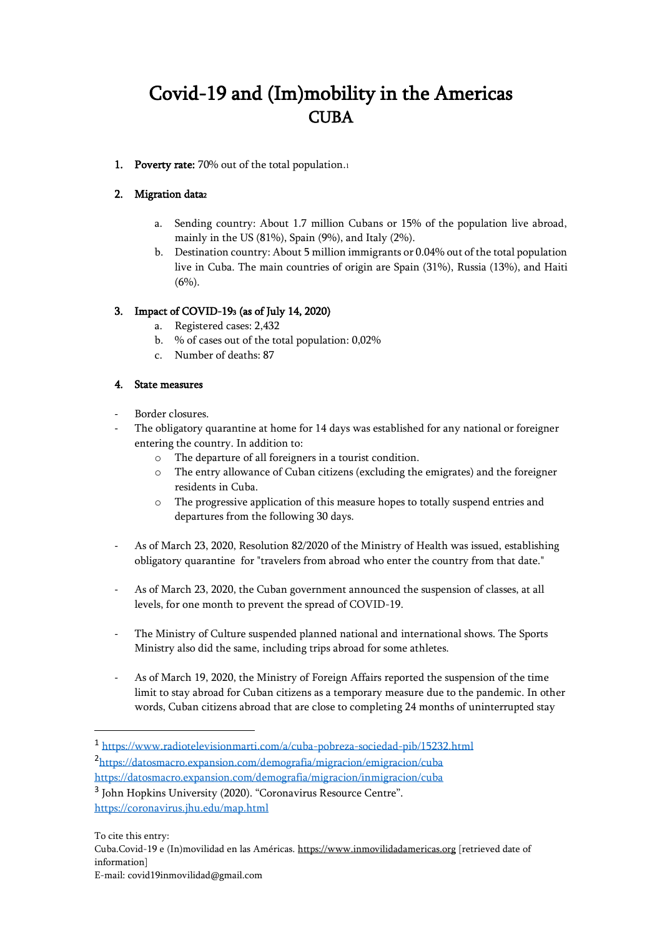# Covid-19 and (Im)mobility in the Americas **CUBA**

1. Poverty rate: 70% out of the total population.1

## 2. Migration data<sup>2</sup>

- a. Sending country: About 1.7 million Cubans or 15% of the population live abroad, mainly in the US (81%), Spain (9%), and Italy (2%).
- b. Destination country: About 5 million immigrants or 0.04% out of the total population live in Cuba. The main countries of origin are Spain (31%), Russia (13%), and Haiti  $(6\%)$ .

## 3. Impact of COVID-193 (as of July 14, 2020)

- a. Registered cases: 2,432
- b. % of cases out of the total population: 0,02%
- c. Number of deaths: 87

## 4. State measures

- Border closures.
- The obligatory quarantine at home for 14 days was established for any national or foreigner entering the country. In addition to:
	- o The departure of all foreigners in a tourist condition.
	- o The entry allowance of Cuban citizens (excluding the emigrates) and the foreigner residents in Cuba.
	- o The progressive application of this measure hopes to totally suspend entries and departures from the following 30 days.
- As of March 23, 2020, Resolution 82/2020 of the Ministry of Health was issued, establishing obligatory quarantine for "travelers from abroad who enter the country from that date."
- As of March 23, 2020, the Cuban government announced the suspension of classes, at all levels, for one month to prevent the spread of COVID-19.
- The Ministry of Culture suspended planned national and international shows. The Sports Ministry also did the same, including trips abroad for some athletes.
- As of March 19, 2020, the Ministry of Foreign Affairs reported the suspension of the time limit to stay abroad for Cuban citizens as a temporary measure due to the pandemic. In other words, Cuban citizens abroad that are close to completing 24 months of uninterrupted stay

<sup>1</sup> <https://www.radiotelevisionmarti.com/a/cuba-pobreza-sociedad-pib/15232.html> <sup>2</sup><https://datosmacro.expansion.com/demografia/migracion/emigracion/cuba> <https://datosmacro.expansion.com/demografia/migracion/inmigracion/cuba>

<sup>&</sup>lt;sup>3</sup> John Hopkins University (2020). "Coronavirus Resource Centre". <https://coronavirus.jhu.edu/map.html>